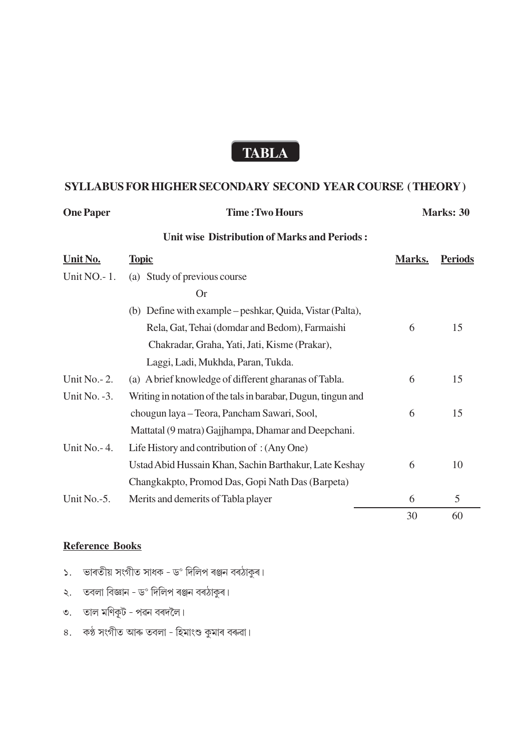# **TABLA**

### SYLLABUS FOR HIGHER SECONDARY SECOND YEAR COURSE (THEORY)

| <b>One Paper</b> | <b>Time: Two Hours</b>                                        | <b>Marks: 30</b> |                |
|------------------|---------------------------------------------------------------|------------------|----------------|
|                  | <b>Unit wise Distribution of Marks and Periods:</b>           |                  |                |
| Unit No.         | <b>Topic</b>                                                  | Marks.           | <b>Periods</b> |
| Unit NO. - 1.    | Study of previous course<br>(a)                               |                  |                |
|                  | <b>Or</b>                                                     |                  |                |
|                  | Define with example – peshkar, Quida, Vistar (Palta),<br>(b)  |                  |                |
|                  | Rela, Gat, Tehai (domdar and Bedom), Farmaishi                | 6                | 15             |
|                  | Chakradar, Graha, Yati, Jati, Kisme (Prakar),                 |                  |                |
|                  | Laggi, Ladi, Mukhda, Paran, Tukda.                            |                  |                |
| Unit No. - 2.    | (a) A brief knowledge of different gharanas of Tabla.         | 6                | 15             |
| Unit No. $-3$ .  | Writing in notation of the tals in barabar, Dugun, tingun and |                  |                |
|                  | chougun laya - Teora, Pancham Sawari, Sool,                   | 6                | 15             |
|                  | Mattatal (9 matra) Gajjhampa, Dhamar and Deepchani.           |                  |                |
| Unit No. - 4.    | Life History and contribution of: (Any One)                   |                  |                |
|                  | Ustad Abid Hussain Khan, Sachin Barthakur, Late Keshay        | 6                | 10             |
|                  | Changkakpto, Promod Das, Gopi Nath Das (Barpeta)              |                  |                |
| Unit No.-5.      | Merits and demerits of Tabla player                           | 6                | 5              |
|                  |                                                               | 30               | 60             |

#### **Reference Books**

- ১. ভাৰতীয় সংগীত সাধক ড° দিলিপ ৰঞ্জন বৰঠাকুৰ।
- ২. তবলা বিজ্ঞান ড° দিলিপ ৰঞ্জন বৰঠাকুৰ।
- ৩. তাল মণিকূট পৱন বৰদলৈ।
- ৪. কণ্ঠ সংগীত আৰু তবলা হিমাংশু কুমাৰ বৰুৱা।